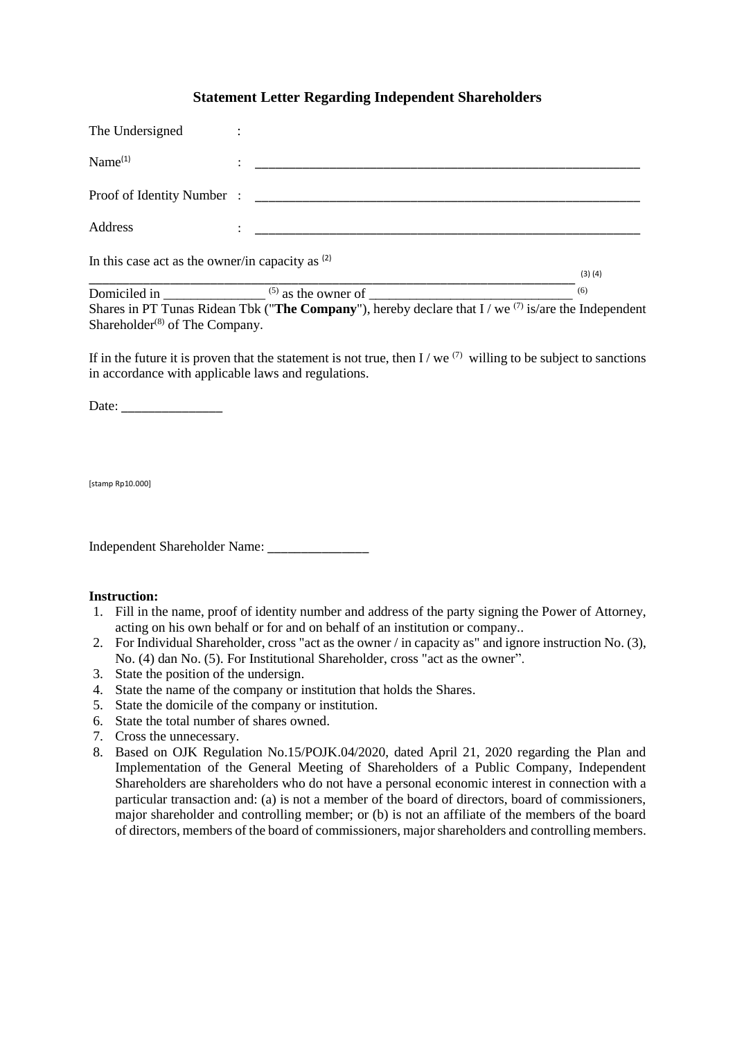## **Statement Letter Regarding Independent Shareholders**

| In this case act as the owner/in capacity as $(2)$ |   |                            | (3)(4) |
|----------------------------------------------------|---|----------------------------|--------|
| Address                                            | ٠ |                            |        |
|                                                    |   | Proof of Identity Number : |        |
| Name <sup>(1)</sup>                                |   |                            |        |
| The Undersigned                                    |   |                            |        |

Domiciled in \_\_\_\_\_\_\_\_\_\_\_\_\_\_\_ (5) as the owner of \_\_\_\_\_\_\_\_\_\_\_\_\_\_\_\_\_\_\_\_\_\_\_\_\_\_\_\_\_\_ (6) Shares in PT Tunas Ridean Tbk ("**The Company**"), hereby declare that I / we (7) is/are the Independent Shareholder $^{(8)}$  of The Company.

If in the future it is proven that the statement is not true, then I / we  $(7)$  willing to be subject to sanctions in accordance with applicable laws and regulations.

Date: \_\_\_\_\_\_\_\_\_\_\_\_\_\_\_

[stamp Rp10.000]

Independent Shareholder Name: \_\_\_\_\_\_\_\_\_\_\_\_\_\_\_

## **Instruction:**

- 1. Fill in the name, proof of identity number and address of the party signing the Power of Attorney, acting on his own behalf or for and on behalf of an institution or company..
- 2. For Individual Shareholder, cross "act as the owner / in capacity as" and ignore instruction No. (3), No. (4) dan No. (5). For Institutional Shareholder, cross "act as the owner".
- 3. State the position of the undersign.
- 4. State the name of the company or institution that holds the Shares.
- 5. State the domicile of the company or institution.
- 6. State the total number of shares owned.
- 7. Cross the unnecessary.
- 8. Based on OJK Regulation No.15/POJK.04/2020, dated April 21, 2020 regarding the Plan and Implementation of the General Meeting of Shareholders of a Public Company, Independent Shareholders are shareholders who do not have a personal economic interest in connection with a particular transaction and: (a) is not a member of the board of directors, board of commissioners, major shareholder and controlling member; or (b) is not an affiliate of the members of the board of directors, members of the board of commissioners, major shareholders and controlling members.